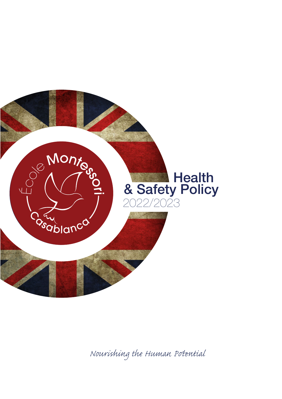

*Nourishing the Human Pential*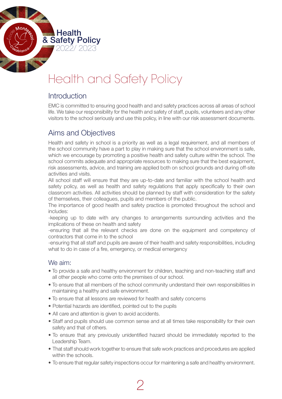# Health and Safety Policy

## **Introduction**

 $\blacksquare$  Health & Safety Policy

2022/ 2023

EMC is committed to ensuring good health and and safety practices across all areas of school life. We take our responsibility for the health and safety of staff, pupils, volunteers and any other visitors to the school seriously and use this policy, in line with our risk assessment documents.

## Aims and Objectives

Health and safety in school is a priority as well as a legal requirement, and all members of the school community have a part to play in making sure that the school environment is safe, which we encourage by promoting a positive health and safety culture within the school. The school commits adequate and appropriate resources to making sure that the best equipment, risk assessments, advice, and training are applied both on school grounds and during off-site activities and visits.

All school staff will ensure that they are up-to-date and familiar with the school health and safety policy, as well as health and safety regulations that apply specifically to their own classroom activities. All activities should be planned by staff with consideration for the safety of themselves, their colleagues, pupils and members of the public.

The importance of good health and safety practice is promoted throughout the school and includes:

-keeping up to date with any changes to arrangements surrounding activities and the implications of these on health and safety

-ensuring that all the relevant checks are done on the equipment and competency of contractors that come in to the school

-ensuring that all staff and pupils are aware of their health and safety responsibilities, including what to do in case of a fire, emergency, or medical emergency

#### We aim:

- To provide a safe and healthy environment for children, teaching and non-teaching staff and all other people who come onto the premises of our school.
- To ensure that all members of the school community understand their own responsibilities in maintaining a healthy and safe environment.
- To ensure that all lessons are reviewed for health and safety concerns
- Potential hazards are identified, pointed out to the pupils
- All care and attention is given to avoid accidents.
- Staff and pupils should use common sense and at all times take responsibility for their own safety and that of others.
- To ensure that any previously unidentified hazard should be immediately reported to the Leadership Team.
- That staff should work together to ensure that safe work practices and procedures are applied within the schools.
- To ensure that regular safety inspections occur for maintening a safe and healthy environment.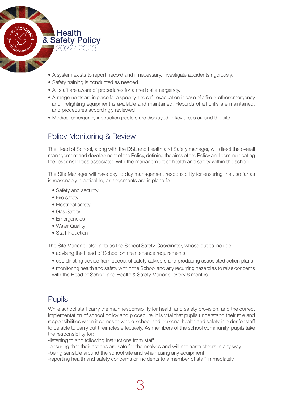

- A system exists to report, record and if necessary, investigate accidents rigorously.
- Safety training is conducted as needed.
- All staff are aware of procedures for a medical emergency.
- • Arrangements are in place for a speedy and safe evacuation in case of a fire or other emergency and firefighting equipment is available and maintained. Records of all drills are maintained, and procedures accordingly reviewed
- Medical emergency instruction posters are displayed in key areas around the site.

# Policy Monitoring & Review

The Head of School, along with the DSL and Health and Safety manager, will direct the overall management and development of the Policy, defining the aims of the Policy and communicating the responsibilities associated with the management of health and safety within the school.

The Site Manager will have day to day management responsibility for ensuring that, so far as is reasonably practicable, arrangements are in place for:

- Safety and security
- Fire safety
- Electrical safety
- Gas Safety
- Emergencies
- Water Quality
- Staff Induction

The Site Manager also acts as the School Safety Coordinator, whose duties include:

- advising the Head of School on maintenance requirements
- coordinating advice from specialist safety advisors and producing associated action plans
- monitoring health and safety within the School and any recurring hazard as to raise concerns with the Head of School and Health & Safety Manager every 6 months

# **Pupils**

While school staff carry the main responsibility for health and safety provision, and the correct implementation of school policy and procedure, it is vital that pupils understand their role and responsibilities when it comes to whole-school and personal health and safety in order for staff to be able to carry out their roles effectively. As members of the school community, pupils take the responsibility for:

-listening to and following instructions from staff

-ensuring that their actions are safe for themselves and will not harm others in any way -being sensible around the school site and when using any equipment

-reporting health and safety concerns or incidents to a member of staff immediately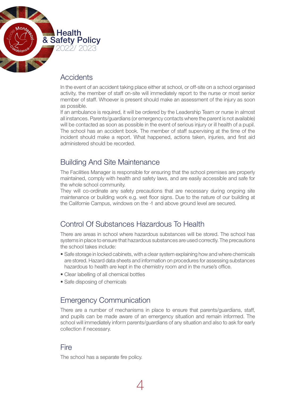

## **Accidents**

In the event of an accident taking place either at school, or off-site on a school organised activity, the member of staff on-site will immediately report to the nurse or most senior member of staff. Whoever is present should make an assessment of the injury as soon as possible.

If an ambulance is required, it will be ordered by the Leadership Team or nurse in almost all instances. Parents/guardians (or emergency contacts where the parent is not available) will be contacted as soon as possible in the event of serious injury or ill health of a pupil. The school has an accident book. The member of staff supervising at the time of the incident should make a report. What happened, actions taken, injuries, and first aid administered should be recorded.

## Building And Site Maintenance

The Facilities Manager is responsible for ensuring that the school premises are properly maintained, comply with health and safety laws, and are easily accessible and safe for the whole school community.

They will co-ordinate any safety precautions that are necessary during ongoing site maintenance or building work e.g. wet floor signs. Due to the nature of our building at the Californie Campus, windows on the -1 and above ground level are secured.

## Control Of Substances Hazardous To Health

There are areas in school where hazardous substances will be stored. The school has systems in place to ensure that hazardous substances are used correctly. The precautions the school takes include:

- Safe storage in locked cabinets, with a clear system explaining how and where chemicals are stored. Hazard data sheets and information on procedures for assessing substances hazardous to health are kept in the chemistry room and in the nurse's office.
- Clear labelling of all chemical bottles
- Safe disposing of chemicals

## Emergency Communication

There are a number of mechanisms in place to ensure that parents/guardians, staff, and pupils can be made aware of an emergency situation and remain informed. The school will immediately inform parents/guardians of any situation and also to ask for early collection if necessary.

4

#### **Fire**

The school has a separate fire policy.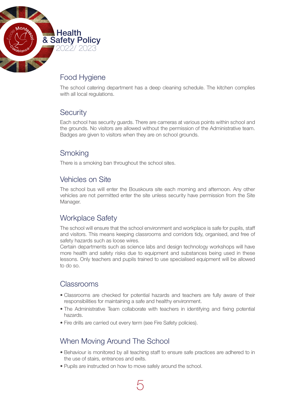

# Food Hygiene

The school catering department has a deep cleaning schedule. The kitchen complies with all local regulations.

## **Security**

Each school has security guards. There are cameras at various points within school and the grounds. No visitors are allowed without the permission of the Administrative team. Badges are given to visitors when they are on school grounds.

## **Smoking**

There is a smoking ban throughout the school sites.

## Vehicles on Site

The school bus will enter the Bouskoura site each morning and afternoon. Any other vehicles are not permitted enter the site unless security have permission from the Site Manager.

## Workplace Safety

The school will ensure that the school environment and workplace is safe for pupils, staff and visitors. This means keeping classrooms and corridors tidy, organised, and free of safety hazards such as loose wires.

Certain departments such as science labs and design technology workshops will have more health and safety risks due to equipment and substances being used in these lessons. Only teachers and pupils trained to use specialised equipment will be allowed to do so.

#### Classrooms

- Classrooms are checked for potential hazards and teachers are fully aware of their responsibilities for maintaining a safe and healthy environment.
- The Administrative Team collaborate with teachers in identifying and fixing potential hazards.
- Fire drills are carried out every term (see Fire Safety policies).

## When Moving Around The School

- Behaviour is monitored by all teaching staff to ensure safe practices are adhered to in the use of stairs, entrances and exits.
- Pupils are instructed on how to move safely around the school.

5